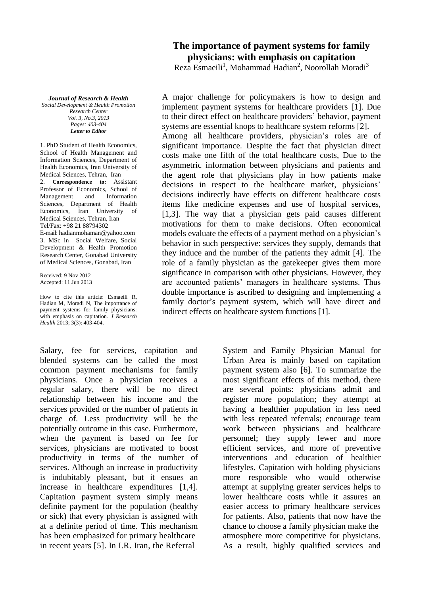## **The importance of payment systems for family physicians: with emphasis on capitation**

Reza Esmaeili<sup>1</sup>, Mohammad Hadian<sup>2</sup>, Noorollah Moradi<sup>3</sup>

*Journal of Research & Health Social Development & Health Promotion Research Center Vol. 3, No.3, 2013 Pages: 403-404 Letter to Editor*

1. PhD Student of Health Economics, School of Health Management and Information Sciences, Department of Health Economics, Iran University of Medical Sciences, Tehran, Iran 2. **Correspondence to:** Assistant Professor of Economics, School of<br>Management and Information **Information** Sciences, Department of Health Economics, Iran University of Medical Sciences, Tehran, Iran Tel/Fax: +98 21 88794302 E-mail: hadianmohama[n@yahoo.com](mailto:hoss_ghaderi@yahoo.com) 3. MSc in Social Welfare, Social Development & Health Promotion Research Center, Gonabad University of Medical Sciences, Gonabad, Iran

Received: 9 Nov 2012 Accepted: 11 Jun 2013

How to cite this article: Esmaeili R, Hadian M, Moradi N, The importance of payment systems for family physicians: with emphasis on capitation. *J Research Health* 2013; 3(3): 403-404.

Salary, fee for services, capitation and blended systems can be called the most common payment mechanisms for family physicians. Once a physician receives a regular salary, there will be no direct relationship between his income and the services provided or the number of patients in charge of. Less productivity will be the potentially outcome in this case. Furthermore, when the payment is based on fee for services, physicians are motivated to boost productivity in terms of the number of services. Although an increase in productivity is indubitably pleasant, but it ensues an increase in healthcare expenditures [1,4]. Capitation payment system simply means definite payment for the population (healthy or sick) that every physician is assigned with at a definite period of time. This mechanism has been emphasized for primary healthcare in recent years [5]. In I.R. Iran, the Referral

A major challenge for policymakers is how to design and implement payment systems for healthcare providers [1]. Due to their direct effect on healthcare providers' behavior, payment systems are essential knops to healthcare system reforms [2]. Among all healthcare providers, physician's roles are of significant importance. Despite the fact that physician direct costs make one fifth of the total healthcare costs, Due to the asymmetric information between physicians and patients and the agent role that physicians play in how patients make decisions in respect to the healthcare market, physicians' decisions indirectly have effects on different healthcare costs items like medicine expenses and use of hospital services, [1,3]. The way that a physician gets paid causes different motivations for them to make decisions. Often economical models evaluate the effects of a payment method on a physician's behavior in such perspective: services they supply, demands that they induce and the number of the patients they admit [4]. The role of a family physician as the gatekeeper gives them more significance in comparison with other physicians. However, they are accounted patients' managers in healthcare systems. Thus double importance is ascribed to designing and implementing a family doctor's payment system, which will have direct and indirect effects on healthcare system functions [1].

> System and Family Physician Manual for Urban Area is mainly based on capitation payment system also [6]. To summarize the most significant effects of this method, there are several points: physicians admit and register more population; they attempt at having a healthier population in less need with less repeated referrals; encourage team work between physicians and healthcare personnel; they supply fewer and more efficient services, and more of preventive interventions and education of healthier lifestyles. Capitation with holding physicians more responsible who would otherwise attempt at supplying greater services helps to lower healthcare costs while it assures an easier access to primary healthcare services for patients. Also, patients that now have the chance to choose a family physician make the atmosphere more competitive for physicians. As a result, highly qualified services and